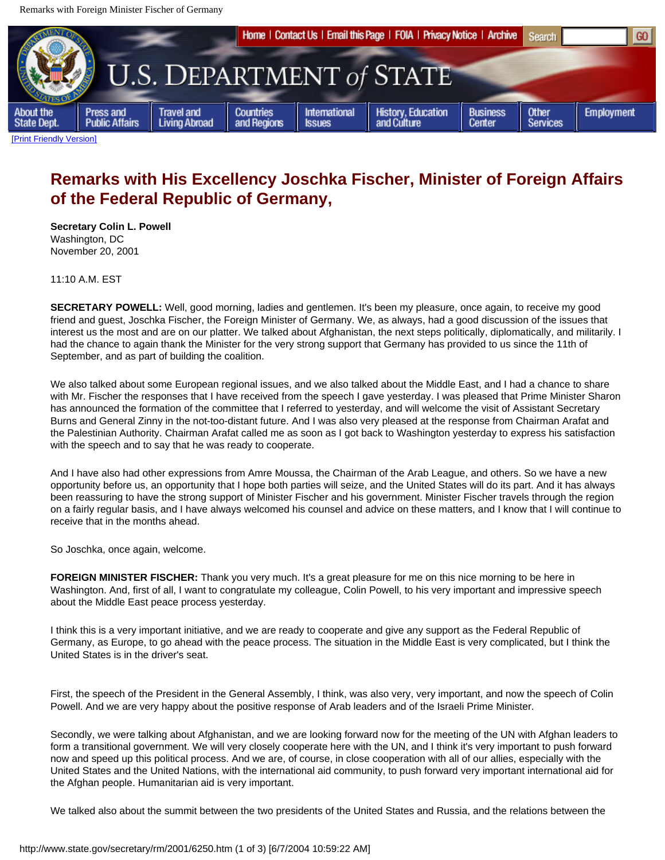Remarks with Foreign Minister Fischer of Germany



## **Remarks with His Excellency Joschka Fischer, Minister of Foreign Affairs of the Federal Republic of Germany,**

**Secretary Colin L. Powell** Washington, DC November 20, 2001

11:10 A.M. EST

**SECRETARY POWELL:** Well, good morning, ladies and gentlemen. It's been my pleasure, once again, to receive my good friend and guest, Joschka Fischer, the Foreign Minister of Germany. We, as always, had a good discussion of the issues that interest us the most and are on our platter. We talked about Afghanistan, the next steps politically, diplomatically, and militarily. I had the chance to again thank the Minister for the very strong support that Germany has provided to us since the 11th of September, and as part of building the coalition.

We also talked about some European regional issues, and we also talked about the Middle East, and I had a chance to share with Mr. Fischer the responses that I have received from the speech I gave yesterday. I was pleased that Prime Minister Sharon has announced the formation of the committee that I referred to yesterday, and will welcome the visit of Assistant Secretary Burns and General Zinny in the not-too-distant future. And I was also very pleased at the response from Chairman Arafat and the Palestinian Authority. Chairman Arafat called me as soon as I got back to Washington yesterday to express his satisfaction with the speech and to say that he was ready to cooperate.

And I have also had other expressions from Amre Moussa, the Chairman of the Arab League, and others. So we have a new opportunity before us, an opportunity that I hope both parties will seize, and the United States will do its part. And it has always been reassuring to have the strong support of Minister Fischer and his government. Minister Fischer travels through the region on a fairly regular basis, and I have always welcomed his counsel and advice on these matters, and I know that I will continue to receive that in the months ahead.

So Joschka, once again, welcome.

**FOREIGN MINISTER FISCHER:** Thank you very much. It's a great pleasure for me on this nice morning to be here in Washington. And, first of all, I want to congratulate my colleague, Colin Powell, to his very important and impressive speech about the Middle East peace process yesterday.

I think this is a very important initiative, and we are ready to cooperate and give any support as the Federal Republic of Germany, as Europe, to go ahead with the peace process. The situation in the Middle East is very complicated, but I think the United States is in the driver's seat.

First, the speech of the President in the General Assembly, I think, was also very, very important, and now the speech of Colin Powell. And we are very happy about the positive response of Arab leaders and of the Israeli Prime Minister.

Secondly, we were talking about Afghanistan, and we are looking forward now for the meeting of the UN with Afghan leaders to form a transitional government. We will very closely cooperate here with the UN, and I think it's very important to push forward now and speed up this political process. And we are, of course, in close cooperation with all of our allies, especially with the United States and the United Nations, with the international aid community, to push forward very important international aid for the Afghan people. Humanitarian aid is very important.

We talked also about the summit between the two presidents of the United States and Russia, and the relations between the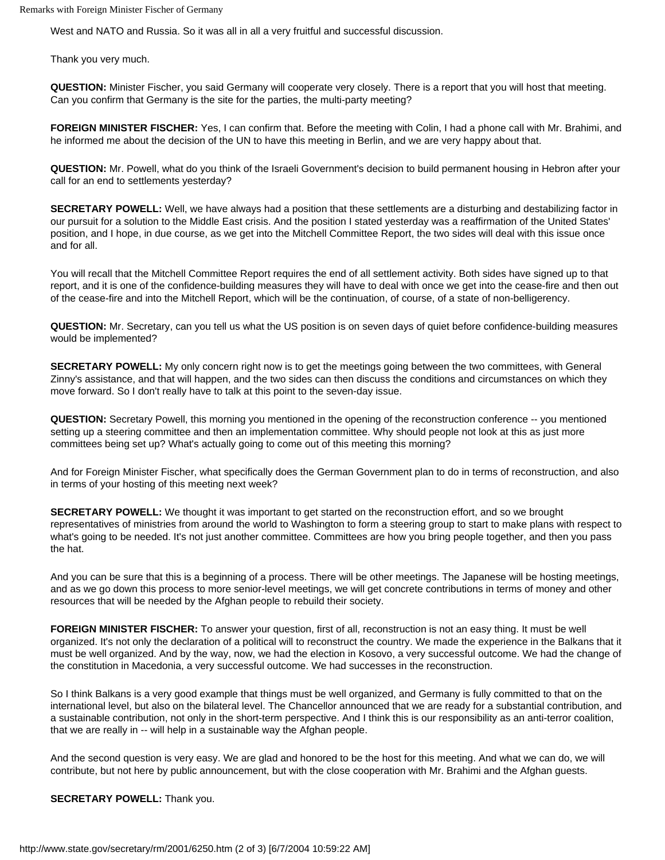Remarks with Foreign Minister Fischer of Germany

West and NATO and Russia. So it was all in all a very fruitful and successful discussion.

Thank you very much.

**QUESTION:** Minister Fischer, you said Germany will cooperate very closely. There is a report that you will host that meeting. Can you confirm that Germany is the site for the parties, the multi-party meeting?

**FOREIGN MINISTER FISCHER:** Yes, I can confirm that. Before the meeting with Colin, I had a phone call with Mr. Brahimi, and he informed me about the decision of the UN to have this meeting in Berlin, and we are very happy about that.

**QUESTION:** Mr. Powell, what do you think of the Israeli Government's decision to build permanent housing in Hebron after your call for an end to settlements yesterday?

**SECRETARY POWELL:** Well, we have always had a position that these settlements are a disturbing and destabilizing factor in our pursuit for a solution to the Middle East crisis. And the position I stated yesterday was a reaffirmation of the United States' position, and I hope, in due course, as we get into the Mitchell Committee Report, the two sides will deal with this issue once and for all.

You will recall that the Mitchell Committee Report requires the end of all settlement activity. Both sides have signed up to that report, and it is one of the confidence-building measures they will have to deal with once we get into the cease-fire and then out of the cease-fire and into the Mitchell Report, which will be the continuation, of course, of a state of non-belligerency.

**QUESTION:** Mr. Secretary, can you tell us what the US position is on seven days of quiet before confidence-building measures would be implemented?

**SECRETARY POWELL:** My only concern right now is to get the meetings going between the two committees, with General Zinny's assistance, and that will happen, and the two sides can then discuss the conditions and circumstances on which they move forward. So I don't really have to talk at this point to the seven-day issue.

**QUESTION:** Secretary Powell, this morning you mentioned in the opening of the reconstruction conference -- you mentioned setting up a steering committee and then an implementation committee. Why should people not look at this as just more committees being set up? What's actually going to come out of this meeting this morning?

And for Foreign Minister Fischer, what specifically does the German Government plan to do in terms of reconstruction, and also in terms of your hosting of this meeting next week?

**SECRETARY POWELL:** We thought it was important to get started on the reconstruction effort, and so we brought representatives of ministries from around the world to Washington to form a steering group to start to make plans with respect to what's going to be needed. It's not just another committee. Committees are how you bring people together, and then you pass the hat.

And you can be sure that this is a beginning of a process. There will be other meetings. The Japanese will be hosting meetings, and as we go down this process to more senior-level meetings, we will get concrete contributions in terms of money and other resources that will be needed by the Afghan people to rebuild their society.

**FOREIGN MINISTER FISCHER:** To answer your question, first of all, reconstruction is not an easy thing. It must be well organized. It's not only the declaration of a political will to reconstruct the country. We made the experience in the Balkans that it must be well organized. And by the way, now, we had the election in Kosovo, a very successful outcome. We had the change of the constitution in Macedonia, a very successful outcome. We had successes in the reconstruction.

So I think Balkans is a very good example that things must be well organized, and Germany is fully committed to that on the international level, but also on the bilateral level. The Chancellor announced that we are ready for a substantial contribution, and a sustainable contribution, not only in the short-term perspective. And I think this is our responsibility as an anti-terror coalition, that we are really in -- will help in a sustainable way the Afghan people.

And the second question is very easy. We are glad and honored to be the host for this meeting. And what we can do, we will contribute, but not here by public announcement, but with the close cooperation with Mr. Brahimi and the Afghan guests.

## **SECRETARY POWELL:** Thank you.